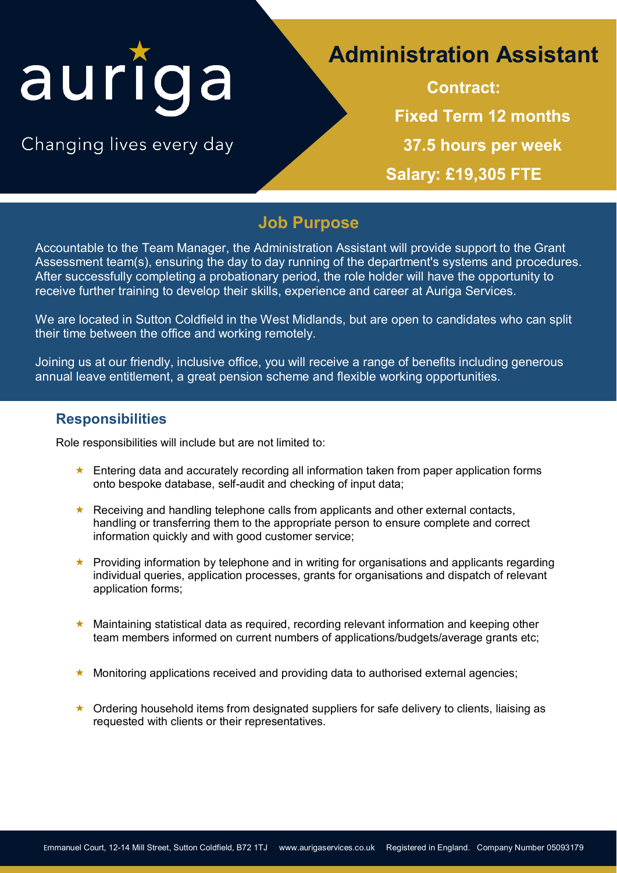# auriga

Changing lives every day

## **Administration Assistant**

**Contract: Fixed Term 12 months 37.5 hours per week Salary: £19,305 FTE**

## **Job Purpose**

Accountable to the Team Manager, the Administration Assistant will provide support to the Grant Assessment team(s), ensuring the day to day running of the department's systems and procedures. After successfully completing a probationary period, the role holder will have the opportunity to receive further training to develop their skills, experience and career at Auriga Services.

We are located in Sutton Coldfield in the West Midlands, but are open to candidates who can split their time between the office and working remotely.

Joining us at our friendly, inclusive office, you will receive a range of benefits including generous annual leave entitlement, a great pension scheme and flexible working opportunities.

#### **Responsibilities**

Role responsibilities will include but are not limited to:

- Entering data and accurately recording all information taken from paper application forms onto bespoke database, self-audit and checking of input data;
- Receiving and handling telephone calls from applicants and other external contacts, handling or transferring them to the appropriate person to ensure complete and correct information quickly and with good customer service;
- **EX** Providing information by telephone and in writing for organisations and applicants regarding individual queries, application processes, grants for organisations and dispatch of relevant application forms;
- ★ Maintaining statistical data as required, recording relevant information and keeping other team members informed on current numbers of applications/budgets/average grants etc;
- Monitoring applications received and providing data to authorised external agencies;
- $\star$  Ordering household items from designated suppliers for safe delivery to clients, liaising as requested with clients or their representatives.